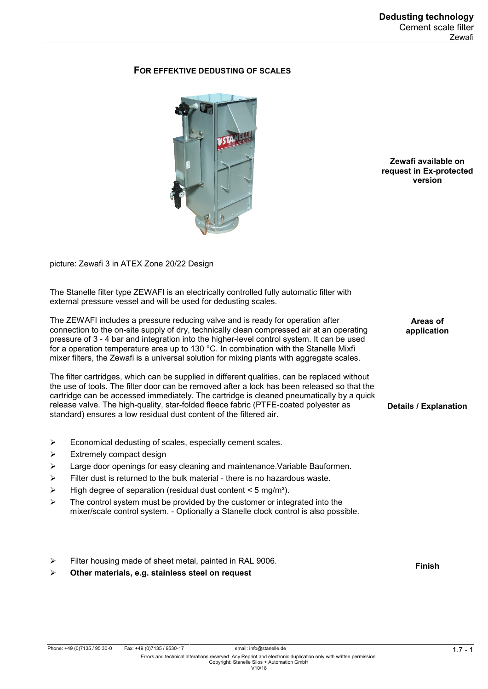# **FOR EFFEKTIVE DEDUSTING OF SCALES**



**Zewafi available on request in Ex-protected version**

> **Areas of application**

**Details / Explanation**

picture: Zewafi 3 in ATEX Zone 20/22 Design

The Stanelle filter type ZEWAFI is an electrically controlled fully automatic filter with external pressure vessel and will be used for dedusting scales.

The ZEWAFI includes a pressure reducing valve and is ready for operation after connection to the on-site supply of dry, technically clean compressed air at an operating pressure of 3 - 4 bar and integration into the higher-level control system. It can be used for a operation temperature area up to 130 °C. In combination with the Stanelle Mixfi mixer filters, the Zewafi is a universal solution for mixing plants with aggregate scales.

The filter cartridges, which can be supplied in different qualities, can be replaced without the use of tools. The filter door can be removed after a lock has been released so that the cartridge can be accessed immediately. The cartridge is cleaned pneumatically by a quick release valve. The high-quality, star-folded fleece fabric (PTFE-coated polyester as standard) ensures a low residual dust content of the filtered air.

- $\triangleright$  Economical dedusting of scales, especially cement scales.
- $\triangleright$  Extremely compact design
- $\triangleright$  Large door openings for easy cleaning and maintenance. Variable Bauformen.
- $\triangleright$  Filter dust is returned to the bulk material there is no hazardous waste.
- $\triangleright$  High degree of separation (residual dust content < 5 mg/m<sup>3</sup>).
- $\triangleright$  The control system must be provided by the customer or integrated into the mixer/scale control system. - Optionally a Stanelle clock control is also possible.
- $\triangleright$  Filter housing made of sheet metal, painted in RAL 9006.

**Other materials, e.g. stainless steel on request**

**Finish**

Phone: +49 (0)7135 / 95 30-0 Fax: +49 (0)7135 / 9530-17 email: info@stanelle.de<br>Errors and technical alterations reserved. Any Reprint and electronic duplication only with written permission. Copyright: Stanelle Silos + Automation GmbH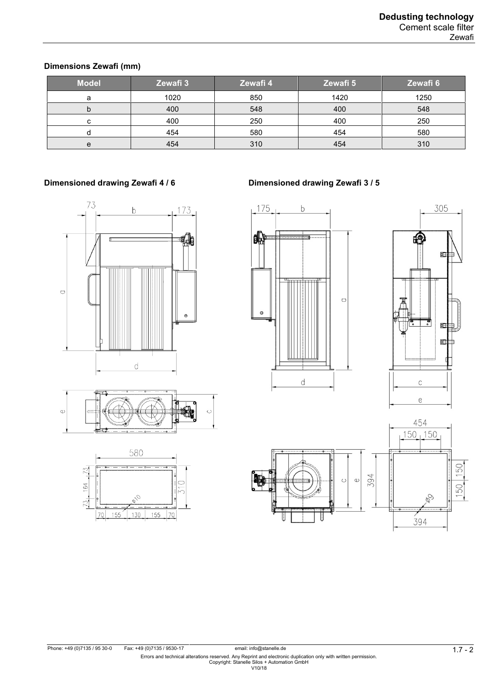### **Dimensions Zewafi (mm)**

| <b>Model</b> | Zewafi 3 | Zewafi 4 | Zewafi 5 | Zewafi 6 |
|--------------|----------|----------|----------|----------|
| а            | 1020     | 850      | 1420     | 1250     |
| b            | 400      | 548      | 400      | 548      |
| u            | 400      | 250      | 400      | 250      |
|              | 454      | 580      | 454      | 580      |
| e            | 454      | 310      | 454      | 310      |

# 73  $173$ b 48  $\circ$  $\oplus$  $\mathbf{d}$





# **Dimensioned drawing Zewafi 4 / 6 Dimensioned drawing Zewafi 3 / 5**









Phone: +49 (0)7135 / 95 30-0 Fax: +49 (0)7135 / 9530-17 email: info@stanelle.de<br>Errors and technical alterations reserved. Any Reprint and electronic duplication only with written permission.<br>Copyright: Stanelle Silos + A